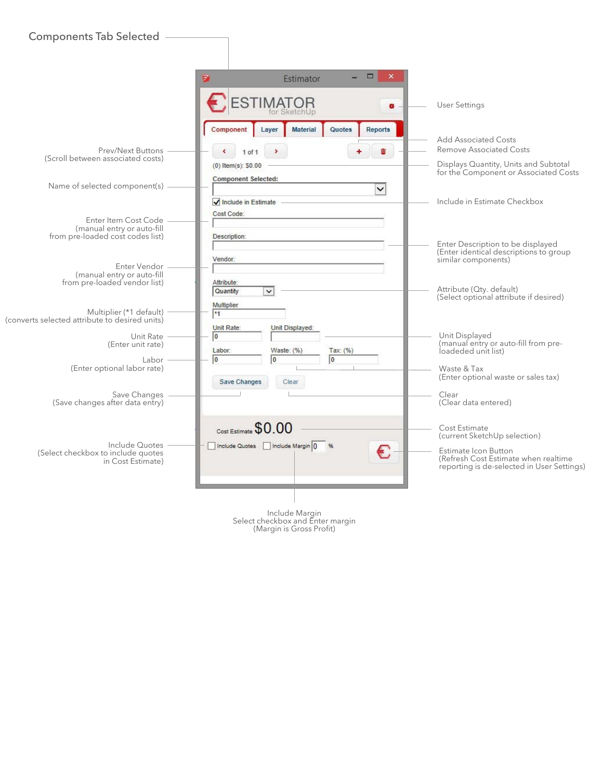|                                                                                                                          | $\Box$<br>$\boldsymbol{\times}$<br>Ð<br>Estimator                                                                             |                                                                                                                                                             |
|--------------------------------------------------------------------------------------------------------------------------|-------------------------------------------------------------------------------------------------------------------------------|-------------------------------------------------------------------------------------------------------------------------------------------------------------|
|                                                                                                                          | ESTIMATOR<br>娄<br>for SketchUp                                                                                                | <b>User Settings</b>                                                                                                                                        |
| Prev/Next Buttons<br>(Scroll between associated costs)                                                                   | <b>Material</b><br>Quotes<br>Reports<br>Component<br>Layer<br>面<br>$1$ of $1$<br>$(0)$ Item(s): \$0.00                        | <b>Add Associated Costs</b><br><b>Remove Associated Costs</b><br>Displays Quantity, Units and Subtotal<br>for the Component or Associated Costs             |
| Name of selected component(s)                                                                                            | Component Selected:<br>$\checkmark$<br>Include in Estimate                                                                    | Include in Estimate Checkbox                                                                                                                                |
| Enter Item Cost Code<br>(manual entry or auto-fill<br>from pre-loaded cost codes list)<br>Enter Vendor                   | Cost Code:<br>Description:<br>Vendor:                                                                                         | Enter Description to be displayed<br>(Enter identical descriptions to group<br>similar components)                                                          |
| (manual entry or auto-fill<br>from pre-loaded vendor list)<br>Multiplier (*1 default)                                    | Attribute:<br>Quantity<br>$\checkmark$<br>Multiplier<br>$*1$                                                                  | Attribute (Qty. default)<br>(Select optional attribute if desired)                                                                                          |
| (converts selected attribute to desired units)<br>Unit Rate<br>(Enter unit rate)<br>Labor<br>(Enter optional labor rate) | Unit Rate:<br>Unit Displayed:<br>0<br>Tax: (%)<br>Labor:<br>Waste: (%)<br>$\overline{0}$<br>lo<br>l0<br>Save Changes<br>Clear | Unit Displayed<br>(manual entry or auto-fill from pre-<br>loadeded unit list)<br>Waste & Tax<br>(Enter optional waste or sales tax)                         |
| Save Changes<br>(Save changes after data entry)                                                                          |                                                                                                                               | Clear<br>(Clear data entered)                                                                                                                               |
| Include Quotes<br>(Select checkbox to include quotes<br>in Cost Estimate)                                                | Cost Estimate \$0.00<br>Include Quotes   Include Margin 0<br>€                                                                | Cost Estimate<br>(current SketchUp selection)<br>Estimate Icon Button<br>(Refresh Cost Estimate when realtime<br>reporting is de-selected in User Settings) |

Include Margin Select checkbox and Enter margin (Margin is Gross Profit)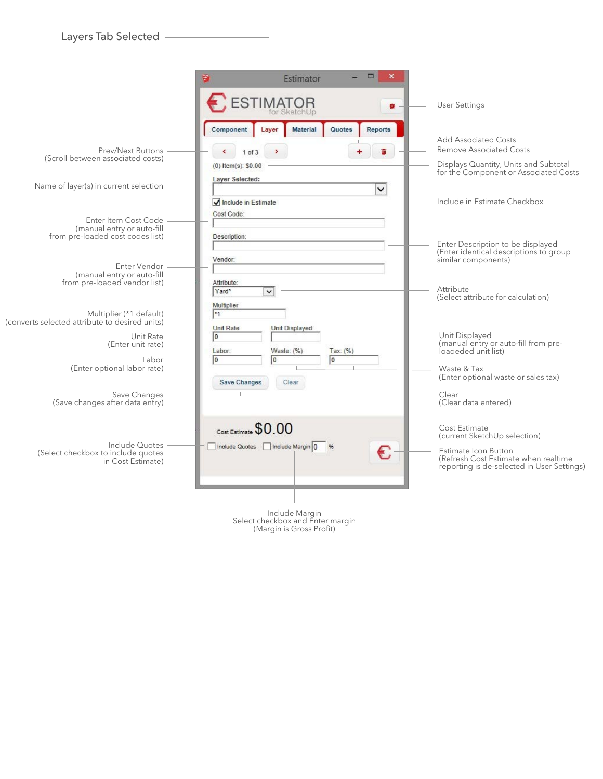| Layers Tab Selected                                                                                                                                 |                                                                                                                 |                                                                                                                                                             |
|-----------------------------------------------------------------------------------------------------------------------------------------------------|-----------------------------------------------------------------------------------------------------------------|-------------------------------------------------------------------------------------------------------------------------------------------------------------|
|                                                                                                                                                     | $\blacksquare$<br>$\times$<br>Estimator<br>Ð                                                                    |                                                                                                                                                             |
|                                                                                                                                                     | <b>ESTIMATOR</b><br>ö                                                                                           | <b>User Settings</b>                                                                                                                                        |
| Prev/Next Buttons<br>(Scroll between associated costs)                                                                                              | <b>Material</b><br>Quotes<br><b>Reports</b><br>Component<br>Laver<br>Φī<br>$1$ of $3$<br>$(0)$ Item(s): $$0.00$ | <b>Add Associated Costs</b><br><b>Remove Associated Costs</b><br>Displays Quantity, Units and Subtotal<br>for the Component or Associated Costs             |
| Name of layer(s) in current selection                                                                                                               | Layer Selected:<br>$\checkmark$<br>$\sqrt{}$ Include in Estimate                                                | Include in Estimate Checkbox                                                                                                                                |
| Enter Item Cost Code<br>(manual entry or auto-fill<br>from pre-loaded cost codes list)                                                              | Cost Code:<br>Description:                                                                                      | Enter Description to be displayed<br>(Enter identical descriptions to group                                                                                 |
| Enter Vendor<br>(manual entry or auto-fill<br>from pre-loaded vendor list)                                                                          | Vendor:<br>Attribute:<br>Yard <sup>3</sup><br>$\checkmark$<br>Multiplier                                        | similar components)<br>Attribute<br>(Select attribute for calculation)                                                                                      |
| Multiplier (*1 default)<br>(converts selected attribute to desired units)<br>Unit Rate<br>(Enter unit rate)<br>Labor<br>(Enter optional labor rate) | $*1$<br><b>Unit Rate</b><br>Unit Displayed:<br>0<br>Labor:<br>Waste: $(% )$<br>Tax: (%)<br>0<br>o<br>0          | Unit Displayed<br>(manual entry or auto-fill from pre-<br>loadeded unit list)<br>Waste & Tax<br>(Enter optional waste or sales tax)                         |
| Save Changes<br>(Save changes after data entry)                                                                                                     | Save Changes<br>Clear                                                                                           | Clear<br>(Clear data entered)                                                                                                                               |
| Include Quotes<br>(Select checkbox to include quotes<br>in Cost Estimate)                                                                           | Cost Estimate \$0.00<br>Include Quotes   Include Margin 0<br>€                                                  | Cost Estimate<br>(current SketchUp selection)<br>Estimate Icon Button<br>(Refresh Cost Estimate when realtime<br>reporting is de-selected in User Settings) |
|                                                                                                                                                     |                                                                                                                 |                                                                                                                                                             |

Include Margin Select checkbox and Enter margin (Margin is Gross Profit)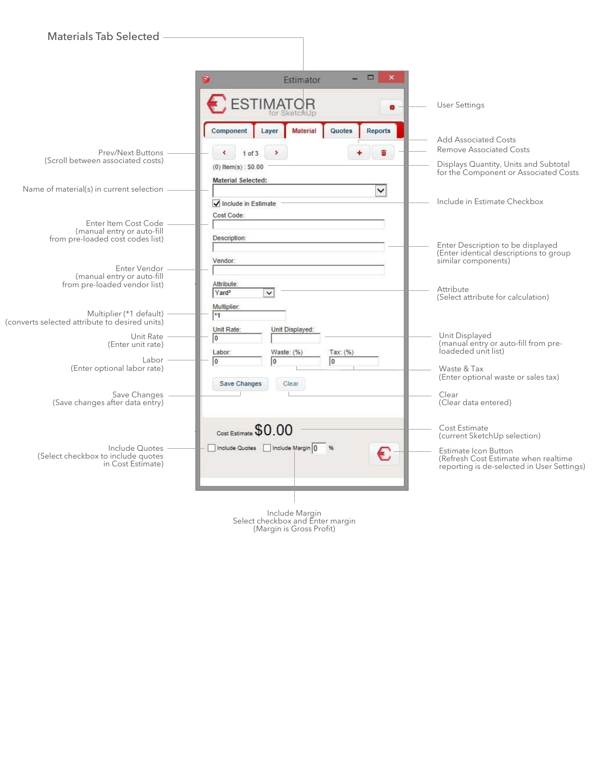| <b>Materials Tab Selected</b>                                                                                                                       |                                                                                                          |                                                                                                                                                             |
|-----------------------------------------------------------------------------------------------------------------------------------------------------|----------------------------------------------------------------------------------------------------------|-------------------------------------------------------------------------------------------------------------------------------------------------------------|
|                                                                                                                                                     | o,<br>$\mathbf{x}$<br>Ð<br>Estimator                                                                     |                                                                                                                                                             |
|                                                                                                                                                     | <b>ESTIMATOR</b><br>×.                                                                                   | <b>User Settings</b>                                                                                                                                        |
| <b>Prev/Next Buttons</b><br>(Scroll between associated costs)                                                                                       | Material<br><b>Quotes</b><br>Component<br><b>Reports</b><br>Layer<br>$1$ of $3$<br>$(0)$ Item(s): \$0.00 | <b>Add Associated Costs</b><br><b>Remove Associated Costs</b><br>Displays Quantity, Units and Subtotal<br>for the Component or Associated Costs             |
| Name of material(s) in current selection                                                                                                            | <b>Material Selected:</b><br>$\checkmark$<br>$\sqrt{}$ Include in Estimate                               | Include in Estimate Checkbox                                                                                                                                |
| Enter Item Cost Code<br>(manual entry or auto-fill<br>from pre-loaded cost codes list)                                                              | Cost Code:<br>Description:                                                                               | Enter Description to be displayed<br>(Enter identical descriptions to group                                                                                 |
| Enter Vendor<br>(manual entry or auto-fill<br>from pre-loaded vendor list)                                                                          | Vendor:<br>Attribute:<br>Yard <sup>2</sup><br>$\checkmark$<br>Multiplier:                                | similar components)<br>Attribute<br>(Select attribute for calculation)                                                                                      |
| Multiplier (*1 default)<br>(converts selected attribute to desired units)<br>Unit Rate<br>(Enter unit rate)<br>Labor<br>(Enter optional labor rate) | $*1$<br>Unit Rate:<br>Unit Displayed:<br>O<br>Labor:<br>Waste: (%)<br>Tax: (%)<br>0<br>0<br>0            | Unit Displayed<br>(manual entry or auto-fill from pre-<br>loadeded unit list)<br>Waste & Tax<br>(Enter optional waste or sales tax)                         |
| Save Changes<br>(Save changes after data entry)                                                                                                     | Save Changes<br>Clear                                                                                    | Clear<br>(Clear data entered)                                                                                                                               |
| Include Quotes<br>(Select checkbox to include quotes<br>in Cost Estimate)                                                                           | Cost Estimate \$0.00<br>Include Quotes   Include Margin 0<br>€                                           | Cost Estimate<br>(current SketchUp selection)<br>Estimate Icon Button<br>(Refresh Cost Estimate when realtime<br>reporting is de-selected in User Settings) |
|                                                                                                                                                     |                                                                                                          |                                                                                                                                                             |

Include Margin Select checkbox and Enter margin (Margin is Gross Profit)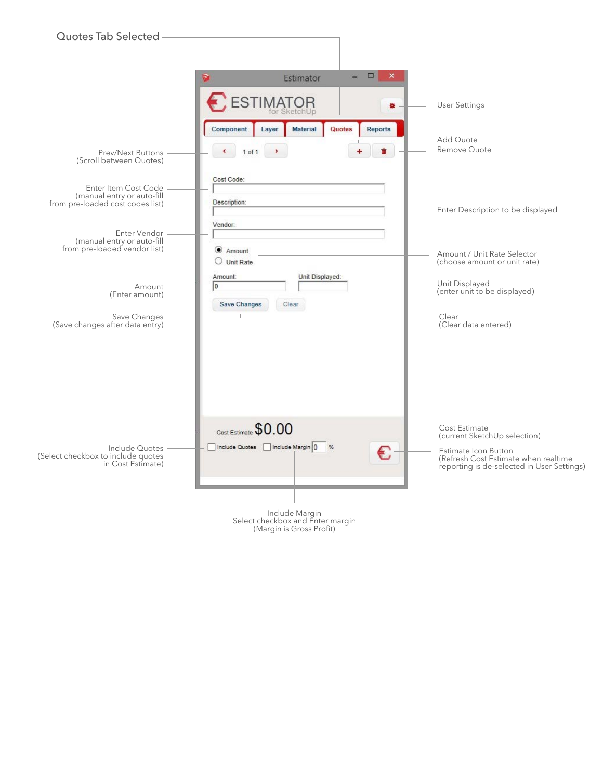

(Margin is Gross Profit)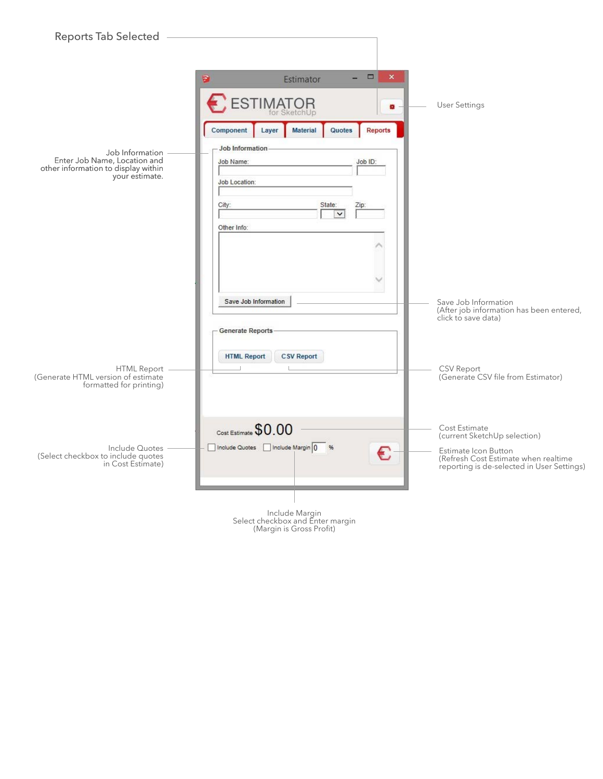| Reports Tab Selected                                                                                                                                      |                                                                                                                                                                                                                                                                           |                                                                                                                                                                                                   |
|-----------------------------------------------------------------------------------------------------------------------------------------------------------|---------------------------------------------------------------------------------------------------------------------------------------------------------------------------------------------------------------------------------------------------------------------------|---------------------------------------------------------------------------------------------------------------------------------------------------------------------------------------------------|
| Job Information<br>Enter Job Name, Location and<br>other information to display within<br>your estimate.                                                  | $\Box$<br>$\boldsymbol{\mathsf{x}}$<br>Estimator<br>Ð<br>ESTIMATOR<br>娄<br>for SketchUp<br><b>Material</b><br>Quotes<br><b>Reports</b><br>Component<br>Layer<br><b>Job Information</b><br>Job Name:<br>Job ID:<br>Job Location:<br>City:<br>State:<br>Zip:<br>Other Info: | <b>User Settings</b>                                                                                                                                                                              |
|                                                                                                                                                           | Save Job Information<br><b>Generate Reports</b><br><b>HTML Report</b><br><b>CSV Report</b>                                                                                                                                                                                | Save Job Information<br>(After job information has been entered,<br>click to save data)<br>CSV Report                                                                                             |
| HTML Report<br>Generate HTML version of estimate)<br>formatted for printing)<br>Include Quotes<br>(Select checkbox to include quotes<br>in Cost Estimate) | Cost Estimate \$0.00<br>Include Quotes   Include Margin 0<br>€                                                                                                                                                                                                            | (Generate CSV file from Estimator)<br>Cost Estimate<br>(current SketchUp selection)<br>Estimate Icon Button<br>(Refresh Cost Estimate when realtime<br>reporting is de-selected in User Settings) |
|                                                                                                                                                           | Include Margin                                                                                                                                                                                                                                                            |                                                                                                                                                                                                   |

| Include Margin                   |
|----------------------------------|
| Select checkbox and Enter margin |
| (Margin is Gross Profit)         |
|                                  |